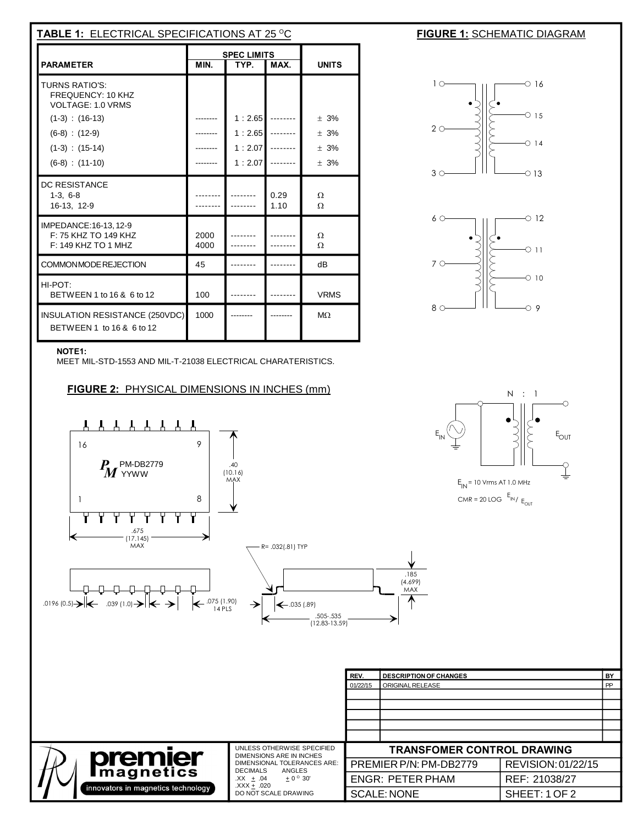| <b>TABLE 1: ELECTRICAL SPECIFICATIONS AT 25 °C</b>                                                                                              |                                            |                                      |              |                               |  |  |  |
|-------------------------------------------------------------------------------------------------------------------------------------------------|--------------------------------------------|--------------------------------------|--------------|-------------------------------|--|--|--|
| <b>PARAMETER</b>                                                                                                                                | <b>SPEC LIMITS</b><br>MIN.<br>TYP.<br>MAX. |                                      | <b>UNITS</b> |                               |  |  |  |
| TURNS RATIO'S:<br>FREQUENCY: 10 KHZ<br>VOLTAGE: 1.0 VRMS<br>$(1-3)$ : $(16-13)$<br>$(6-8) : (12-9)$<br>$(1-3)$ : $(15-14)$<br>$(6-8) : (11-10)$ |                                            | 1:2.65<br>1:2.65<br>1:2.07<br>1:2.07 |              | ± 3%<br>$+3%$<br>± 3%<br>± 3% |  |  |  |
| <b>DC RESISTANCE</b><br>$1-3, 6-8$<br>16-13, 12-9                                                                                               |                                            |                                      | 0.29<br>1.10 | Ω<br>$\Omega$                 |  |  |  |
| IMPEDANCE:16-13, 12-9<br>F: 75 KHZ TO 149 KHZ<br>$F: 149$ KHZ TO 1 MHZ                                                                          | 2000<br>4000                               |                                      |              | Ω<br>$\Omega$                 |  |  |  |
| COMMONMODE REJECTION                                                                                                                            | 45                                         |                                      |              | dB                            |  |  |  |
| HI-POT:<br>BETWEEN 1 to 16 & 6 to 12                                                                                                            | 100                                        |                                      |              | <b>VRMS</b>                   |  |  |  |
| INSULATION RESISTANCE (250VDC)<br>BETWEEN 1 to 16 & 6 to 12                                                                                     | 1000                                       |                                      |              | M <sub>2</sub>                |  |  |  |







## **NOTE1:**

MEET MIL-STD-1553 AND MIL-T-21038 ELECTRICAL CHARATERISTICS.

**FIGURE 2:** PHYSICAL DIMENSIONS IN INCHES (mm)